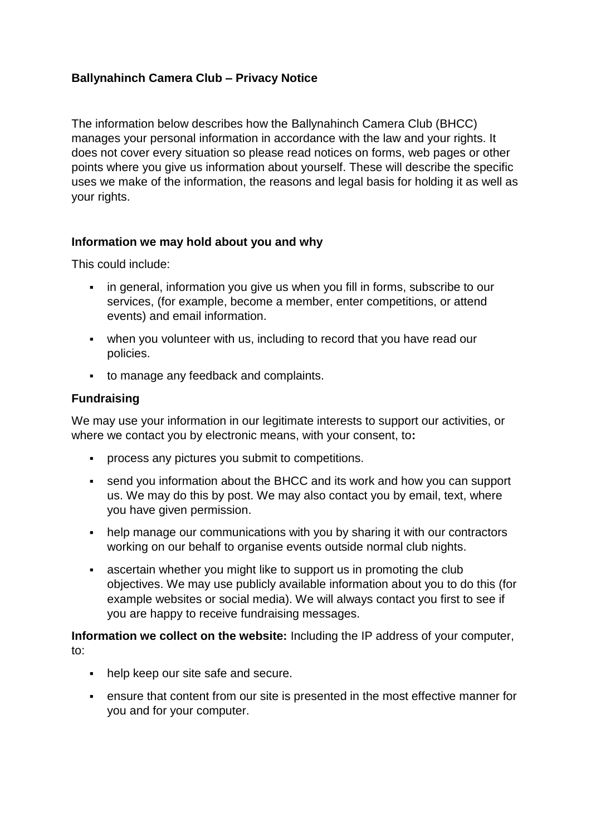# **Ballynahinch Camera Club – Privacy Notice**

The information below describes how the Ballynahinch Camera Club (BHCC) manages your personal information in accordance with the law and your rights. It does not cover every situation so please read notices on forms, web pages or other points where you give us information about yourself. These will describe the specific uses we make of the information, the reasons and legal basis for holding it as well as your rights.

## **Information we may hold about you and why**

This could include:

- in general, information you give us when you fill in forms, subscribe to our services, (for example, become a member, enter competitions, or attend events) and email information.
- when you volunteer with us, including to record that you have read our policies.
- to manage any feedback and complaints.

### **Fundraising**

We may use your information in our legitimate interests to support our activities, or where we contact you by electronic means, with your consent, to**:**

- process any pictures you submit to competitions.
- send you information about the BHCC and its work and how you can support us. We may do this by post. We may also contact you by email, text, where you have given permission.
- help manage our communications with you by sharing it with our contractors working on our behalf to organise events outside normal club nights.
- ascertain whether you might like to support us in promoting the club objectives. We may use publicly available information about you to do this (for example websites or social media). We will always contact you first to see if you are happy to receive fundraising messages.

**Information we collect on the website:** Including the IP address of your computer, to:

- help keep our site safe and secure.
- ensure that content from our site is presented in the most effective manner for you and for your computer.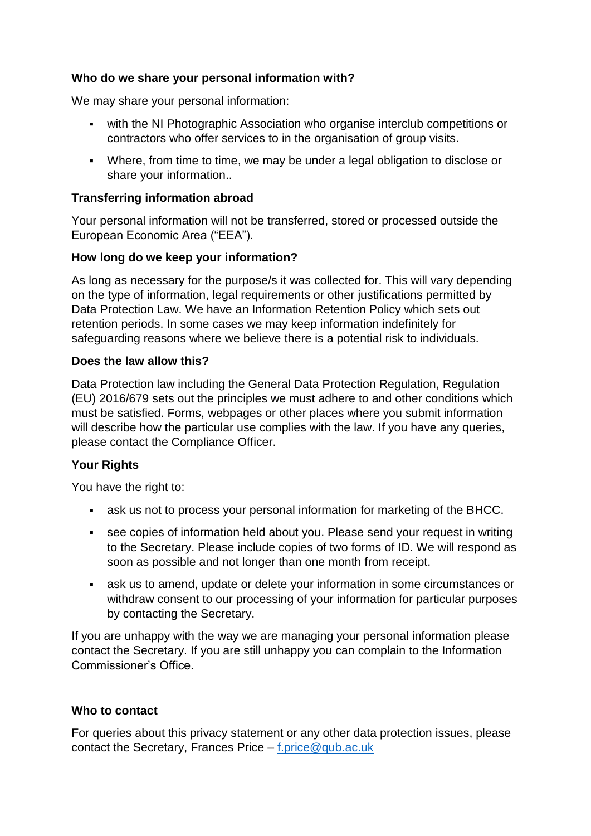## **Who do we share your personal information with?**

We may share your personal information:

- with the NI Photographic Association who organise interclub competitions or contractors who offer services to in the organisation of group visits.
- Where, from time to time, we may be under a legal obligation to disclose or share your information..

### **Transferring information abroad**

Your personal information will not be transferred, stored or processed outside the European Economic Area ("EEA").

### **How long do we keep your information?**

As long as necessary for the purpose/s it was collected for. This will vary depending on the type of information, legal requirements or other justifications permitted by Data Protection Law. We have an Information Retention Policy which sets out retention periods. In some cases we may keep information indefinitely for safeguarding reasons where we believe there is a potential risk to individuals.

#### **Does the law allow this?**

Data Protection law including the General Data Protection Regulation, Regulation (EU) 2016/679 sets out the principles we must adhere to and other conditions which must be satisfied. Forms, webpages or other places where you submit information will describe how the particular use complies with the law. If you have any queries, please contact the Compliance Officer.

## **Your Rights**

You have the right to:

- ask us not to process your personal information for marketing of the BHCC.
- see copies of information held about you. Please send your request in writing to the Secretary. Please include copies of two forms of ID. We will respond as soon as possible and not longer than one month from receipt.
- ask us to amend, update or delete your information in some circumstances or withdraw consent to our processing of your information for particular purposes by contacting the Secretary.

If you are unhappy with the way we are managing your personal information please contact the Secretary. If you are still unhappy you can complain to the Information Commissioner's Office.

#### **Who to contact**

For queries about this privacy statement or any other data protection issues, please contact the Secretary, Frances Price – [f.price@qub.ac.uk](mailto:f.price@qub.ac.uk)